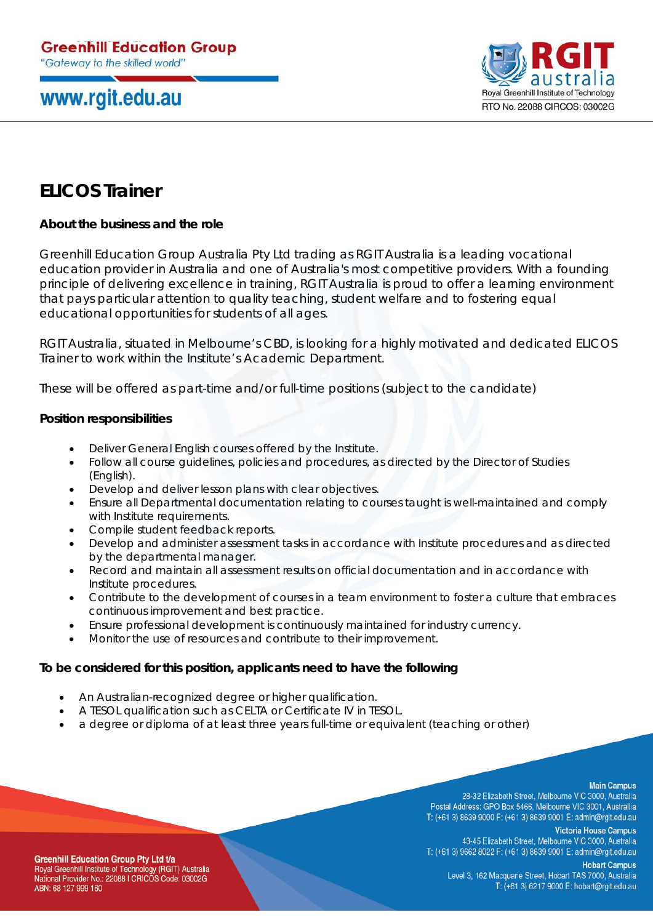# www.rgit.edu.au



## **ELICOS Trainer**

## **About the business and the role**

Greenhill Education Group Australia Pty Ltd trading as RGIT Australia is a leading vocational education provider in Australia and one of Australia's most competitive providers. With a founding principle of delivering excellence in training, RGIT Australia is proud to offer a learning environment that pays particular attention to quality teaching, student welfare and to fostering equal educational opportunities for students of all ages.

RGIT Australia, situated in Melbourne's CBD, is looking for a highly motivated and dedicated ELICOS Trainer to work within the Institute's Academic Department.

These will be offered as part-time and/or full-time positions (subject to the candidate)

#### **Position responsibilities**

- Deliver General English courses offered by the Institute.
- Follow all course guidelines, policies and procedures, as directed by the Director of Studies (English).
- Develop and deliver lesson plans with clear objectives.
- Ensure all Departmental documentation relating to courses taught is well-maintained and comply with Institute requirements.
- Compile student feedback reports.
- Develop and administer assessment tasks in accordance with Institute procedures and as directed by the departmental manager.
- Record and maintain all assessment results on official documentation and in accordance with Institute procedures.
- Contribute to the development of courses in a team environment to foster a culture that embraces continuous improvement and best practice.
- Ensure professional development is continuously maintained for industry currency.
- Monitor the use of resources and contribute to their improvement.

### **To be considered for this position, applicants need to have the following**

- An Australian-recognized degree or higher qualification.
- A TESOL qualification such as CELTA or Certificate IV in TESOL.
- a degree or diploma of at least three years full-time or equivalent (teaching or other)

#### **Main Campus**

28-32 Elizabeth Street, Melbourne VIC 3000, Australia Postal Address: GPO Box 5466, Melbourne VIC 3001, Australlia T: (+61 3) 8639 9000 F: (+61 3) 8639 9001 E: admin@rgit.edu.au

> **Victoria House Campus** 43-45 Elizabeth Street, Melbourne VIC 3000, Australia

T: (+61 3) 9662 8022 F: (+61 3) 8639 9001 E: admin@rgit.edu.au **Hobart Campus** 

**Greenhill Education Group Pty Ltd t/a** Royal Greenhill Institute of Technology (RGIT) Australia National Provider No.: 22088 I CRICOS Code: 03002G ABN: 68 127 999 160

Level 3, 162 Macquarie Street, Hobart TAS 7000, Australia T: (+61 3) 6217 9000 E: hobart@rgit.edu.au